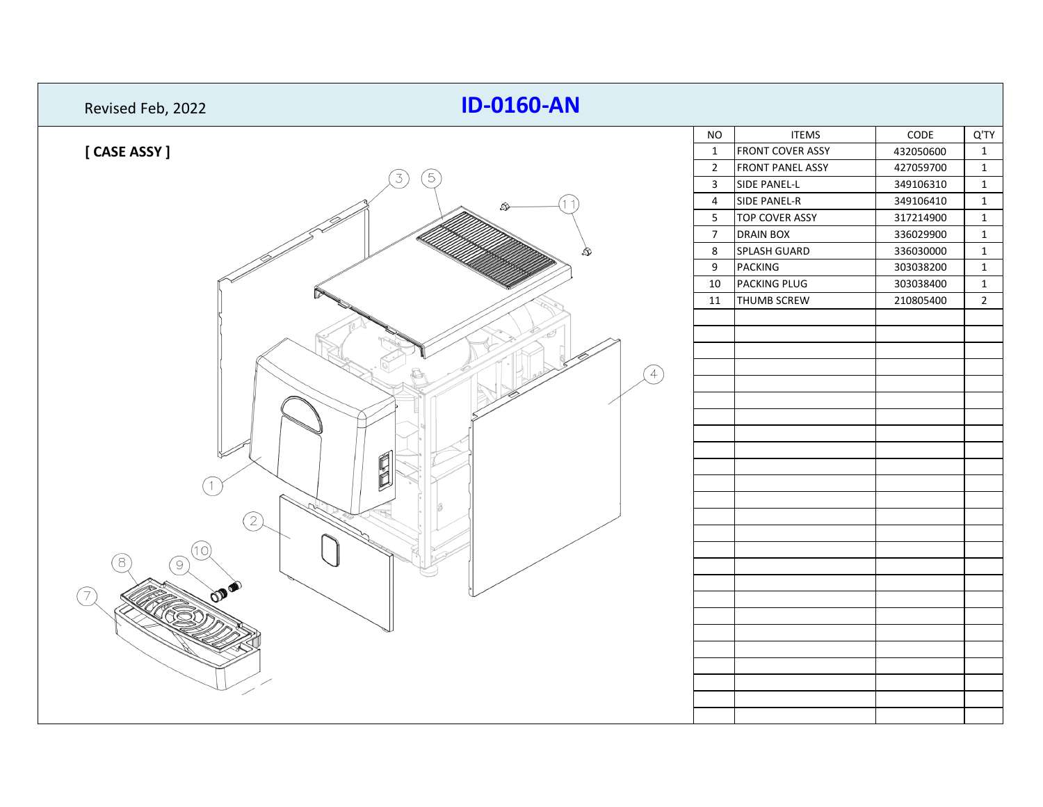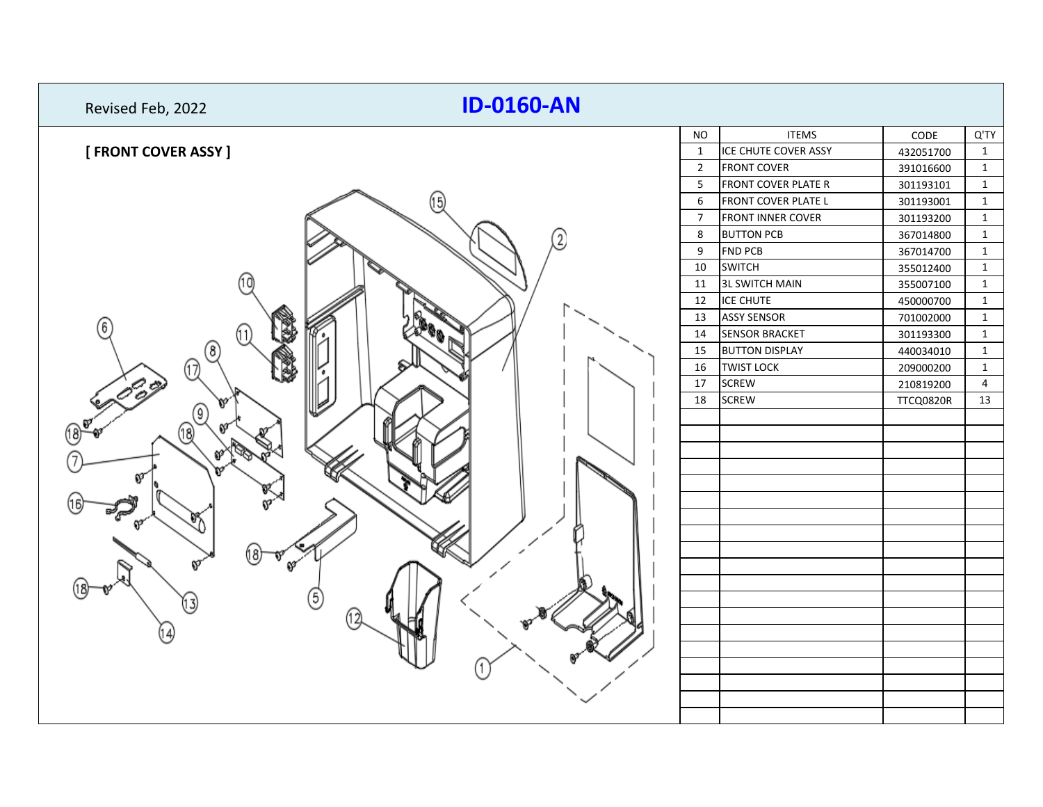| <b>ID-0160-AN</b><br>Revised Feb, 2022 |                |                          |                  |                |
|----------------------------------------|----------------|--------------------------|------------------|----------------|
|                                        | <b>NO</b>      | <b>ITEMS</b>             | CODE             | Q'TY           |
| [ FRONT COVER ASSY ]                   | $\mathbf{1}$   | ICE CHUTE COVER ASSY     | 432051700        | $\mathbf{1}$   |
|                                        | $\overline{2}$ | <b>FRONT COVER</b>       | 391016600        | $\mathbf{1}$   |
|                                        | 5              | FRONT COVER PLATE R      | 301193101        | $\mathbf{1}$   |
| 15)                                    | 6              | FRONT COVER PLATE L      | 301193001        | $\mathbf{1}$   |
|                                        | $\overline{7}$ | <b>FRONT INNER COVER</b> | 301193200        | $\mathbf 1$    |
| $\overline{2}$                         | $\,8\,$        | <b>BUTTON PCB</b>        | 367014800        | $\mathbf{1}$   |
|                                        | 9              | <b>FND PCB</b>           | 367014700        | $\mathbf{1}$   |
|                                        | 10             | <b>SWITCH</b>            | 355012400        | $\mathbf{1}$   |
|                                        | 11             | <b>3L SWITCH MAIN</b>    | 355007100        | $\mathbf 1$    |
|                                        | 12             | <b>ICE CHUTE</b>         | 450000700        | $\mathbf{1}$   |
|                                        | 13             | <b>ASSY SENSOR</b>       | 701002000        | $\mathbf{1}$   |
| 6                                      | 14             | <b>SENSOR BRACKET</b>    | 301193300        | $\mathbf{1}$   |
| $\circledR$                            | 15             | <b>BUTTON DISPLAY</b>    | 440034010        | $\mathbf{1}$   |
| $^\text{\textregistered}$              | 16             | <b>TWIST LOCK</b>        | 209000200        | $\mathbf{1}$   |
|                                        | 17             | <b>SCREW</b>             | 210819200        | $\overline{4}$ |
|                                        | 18             | <b>SCREW</b>             | <b>TTCQ0820R</b> | 13             |
| 9)                                     |                |                          |                  |                |
|                                        |                |                          |                  |                |
|                                        |                |                          |                  |                |
|                                        |                |                          |                  |                |
|                                        |                |                          |                  |                |
|                                        |                |                          |                  |                |
|                                        |                |                          |                  |                |
|                                        |                |                          |                  |                |
| 18                                     |                |                          |                  |                |
|                                        |                |                          |                  |                |
|                                        |                |                          |                  |                |
| (5)                                    |                |                          |                  |                |
|                                        |                |                          |                  |                |
|                                        |                |                          |                  |                |
|                                        |                |                          |                  |                |
|                                        |                |                          |                  |                |
|                                        |                |                          |                  |                |
|                                        |                |                          |                  |                |
|                                        |                |                          |                  |                |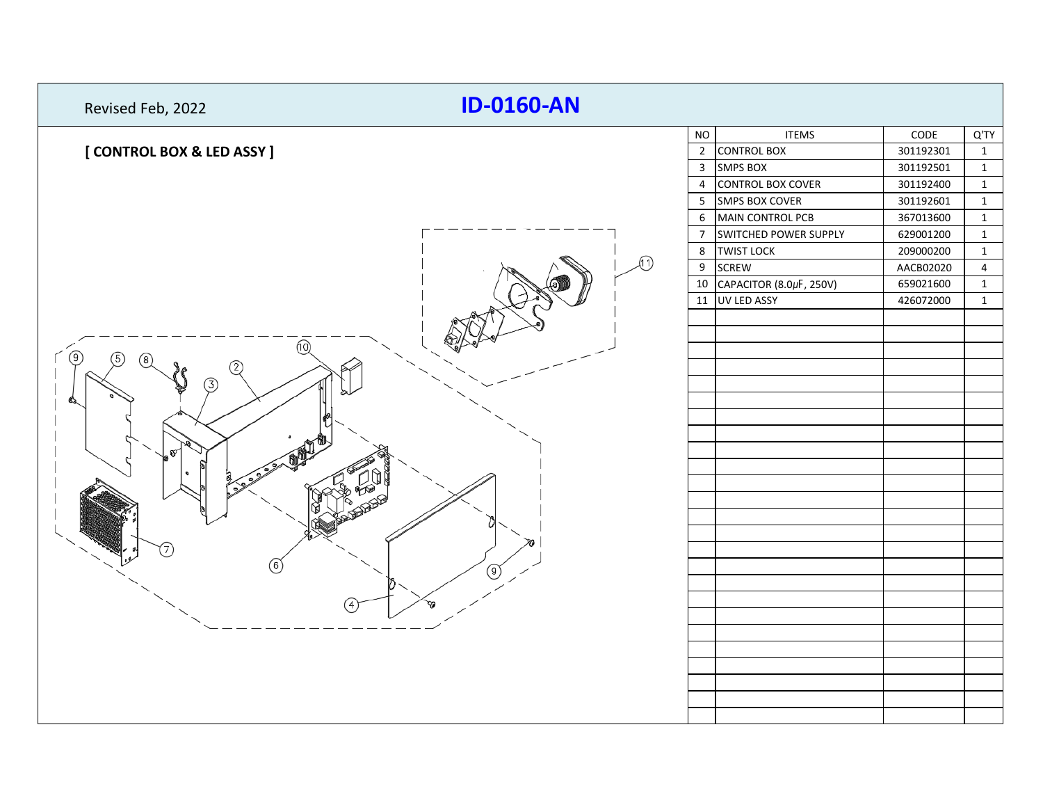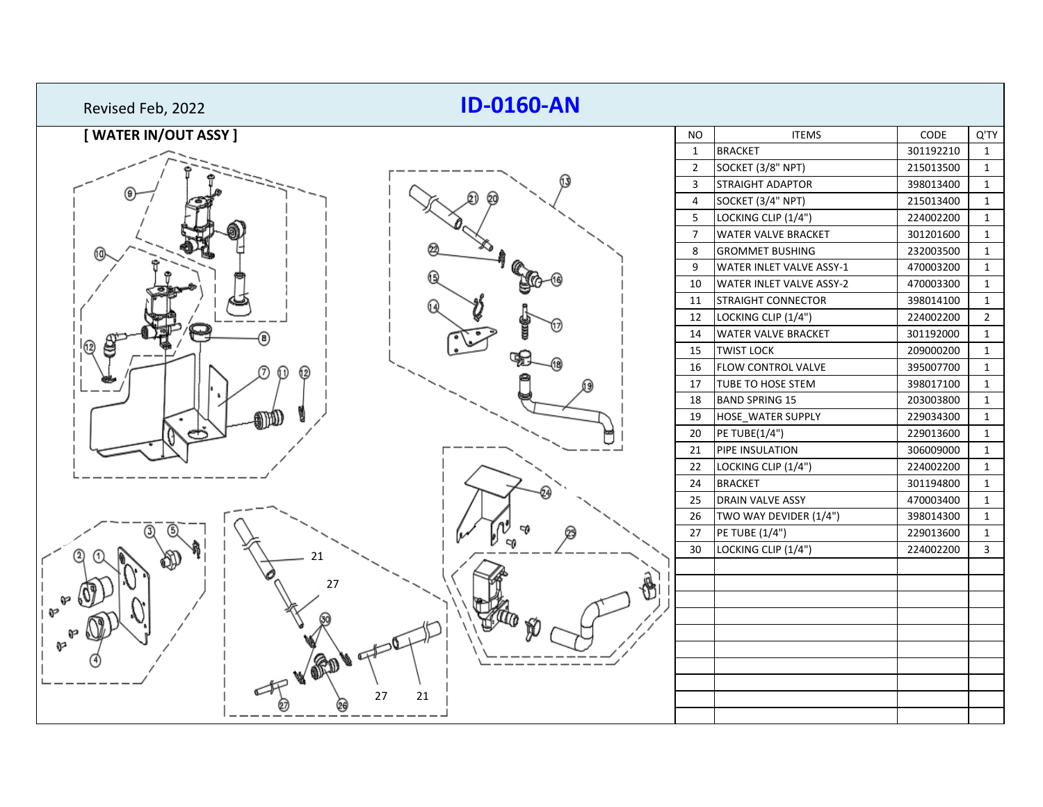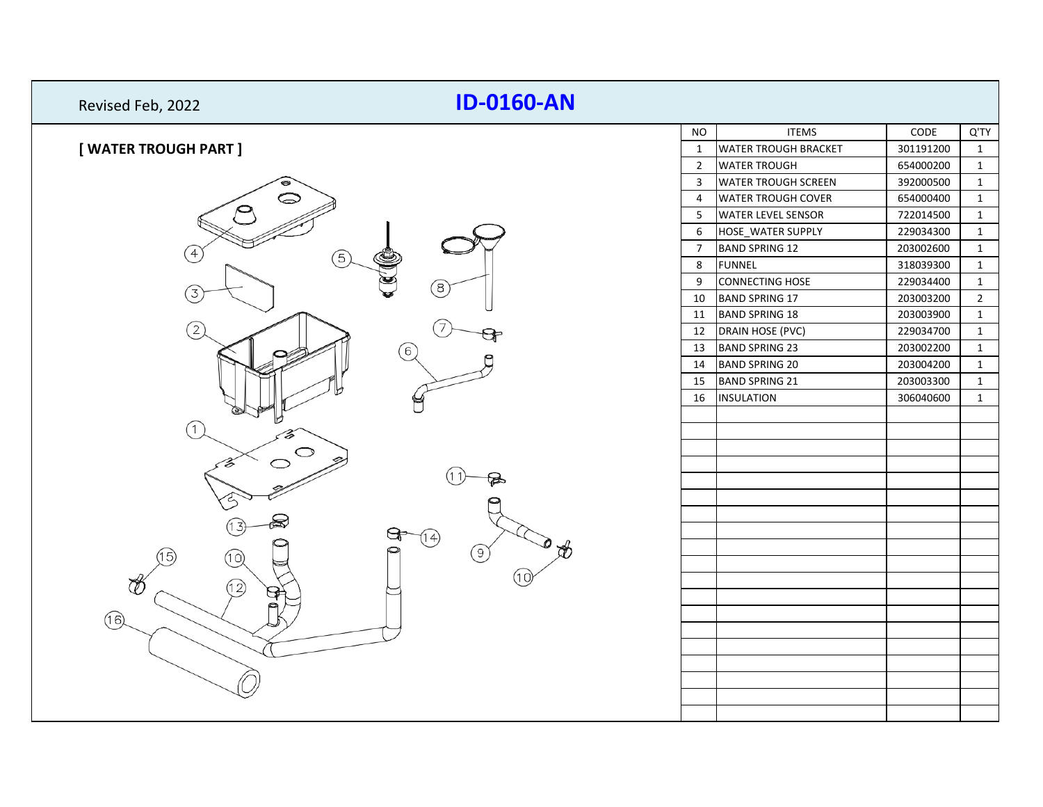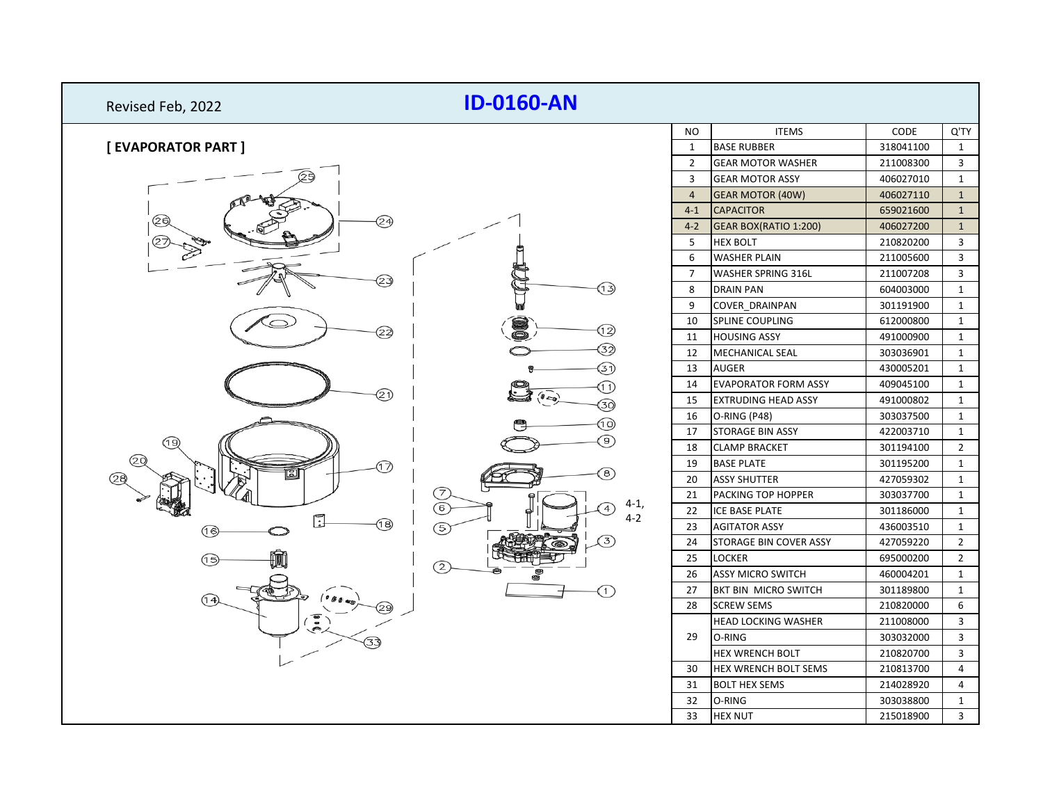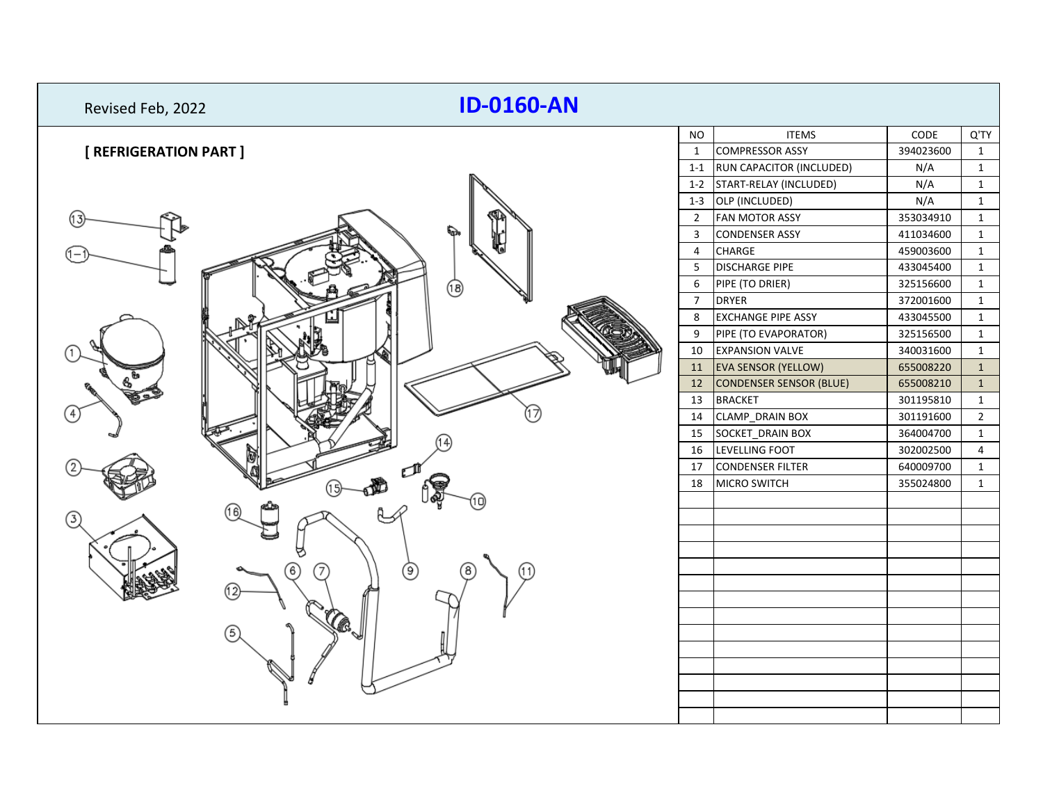| Q'TY<br><b>NO</b><br><b>ITEMS</b><br>CODE                                                     |
|-----------------------------------------------------------------------------------------------|
| [ REFRIGERATION PART ]<br><b>COMPRESSOR ASSY</b><br>394023600<br>$\mathbf{1}$<br>$\mathbf{1}$ |
| 1-1 RUN CAPACITOR (INCLUDED)<br>N/A<br>$\mathbf{1}$                                           |
| 1-2 START-RELAY (INCLUDED)<br>N/A<br>$\mathbf{1}$                                             |
| N/A<br>1-3 OLP (INCLUDED)<br>$\mathbf{1}$                                                     |
| <b>FAN MOTOR ASSY</b><br>353034910<br>$\overline{2}$<br>$\mathbf{1}$                          |
| <b>CONDENSER ASSY</b><br>$\overline{3}$<br>411034600<br>$\mathbf{1}$                          |
| CHARGE<br>459003600<br>$\overline{4}$<br>$\mathbf{1}$                                         |
| 5 <sup>5</sup><br><b>DISCHARGE PIPE</b><br>433045400<br>$\mathbf{1}$                          |
| 6<br>PIPE (TO DRIER)<br>325156600<br>$\mathbf{1}$<br>ල)                                       |
| $\overline{7}$<br><b>DRYER</b><br>372001600<br>$\mathbf{1}$                                   |
| <b>EXCHANGE PIPE ASSY</b><br>433045500<br>8<br>$\mathbf{1}$                                   |
| PIPE (TO EVAPORATOR)<br>9<br>325156500<br>$\mathbf{1}$                                        |
| 10<br><b>EXPANSION VALVE</b><br>340031600<br>$\mathbf{1}$                                     |
| <b>EVA SENSOR (YELLOW)</b><br>655008220<br>11<br>$\mathbf{1}$                                 |
| $12$<br><b>CONDENSER SENSOR (BLUE)</b><br>655008210<br>$\mathbf{1}$                           |
| 13<br><b>BRACKET</b><br>301195810<br>$\mathbf{1}$                                             |
| 14<br><b>CLAMP_DRAIN BOX</b><br>$\overline{2}$<br>301191600                                   |
| SOCKET_DRAIN BOX<br>15<br>364004700<br>$\mathbf{1}$                                           |
| 16<br>LEVELLING FOOT<br>302002500<br>$\overline{4}$                                           |
| 17<br><b>CONDENSER FILTER</b><br>640009700<br>$\mathbf{1}$                                    |
| 18<br><b>MICRO SWITCH</b><br>355024800<br>$\mathbf{1}$                                        |
|                                                                                               |
|                                                                                               |
|                                                                                               |
|                                                                                               |
| ◉<br>6                                                                                        |
|                                                                                               |
|                                                                                               |
|                                                                                               |
|                                                                                               |
|                                                                                               |
|                                                                                               |
|                                                                                               |
|                                                                                               |